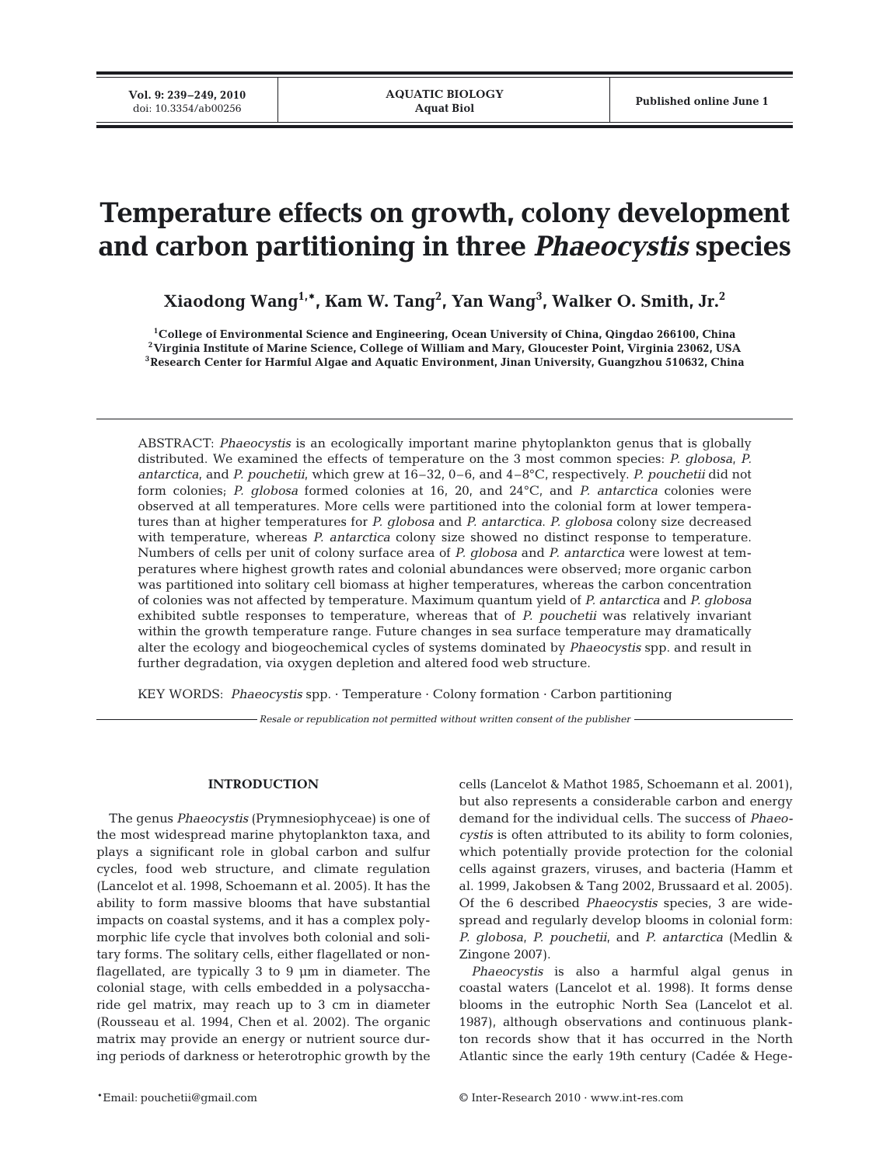# **Temperature effects on growth, colony development and carbon partitioning in three** *Phaeocystis* **species**

**Xiaodong Wang1,\*, Kam W. Tang2 , Yan Wang3 , Walker O. Smith, Jr.2**

**1College of Environmental Science and Engineering, Ocean University of China, Qingdao 266100, China 2Virginia Institute of Marine Science, College of William and Mary, Gloucester Point, Virginia 23062, USA 3Research Center for Harmful Algae and Aquatic Environment, Jinan University, Guangzhou 510632, China**

ABSTRACT: *Phaeocystis* is an ecologically important marine phytoplankton genus that is globally distributed. We examined the effects of temperature on the 3 most common species: *P. globosa*, *P. antarctica*, and *P. pouchetii*, which grew at 16–32, 0–6, and 4–8°C, respectively. *P. pouchetii* did not form colonies; *P. globosa* formed colonies at 16, 20, and 24°C, and *P. antarctica* colonies were observed at all temperatures. More cells were partitioned into the colonial form at lower temperatures than at higher temperatures for *P. globosa* and *P. antarctica*. *P. globosa* colony size decreased with temperature, whereas *P. antarctica* colony size showed no distinct response to temperature. Numbers of cells per unit of colony surface area of *P. globosa* and *P. antarctica* were lowest at temperatures where highest growth rates and colonial abundances were observed; more organic carbon was partitioned into solitary cell biomass at higher temperatures, whereas the carbon concentration of colonies was not affected by temperature. Maximum quantum yield of *P. antarctica* and *P. globosa* exhibited subtle responses to temperature, whereas that of *P. pouchetii* was relatively invariant within the growth temperature range. Future changes in sea surface temperature may dramatically alter the ecology and biogeochemical cycles of systems dominated by *Phaeocystis* spp. and result in further degradation, via oxygen depletion and altered food web structure.

KEY WORDS: *Phaeocystis* spp. · Temperature · Colony formation · Carbon partitioning

*Resale or republication not permitted without written consent of the publisher*

## **INTRODUCTION**

The genus *Phaeocystis* (Prymnesiophyceae) is one of the most widespread marine phytoplankton taxa, and plays a significant role in global carbon and sulfur cycles, food web structure, and climate regulation (Lancelot et al. 1998, Schoemann et al. 2005). It has the ability to form massive blooms that have substantial impacts on coastal systems, and it has a complex polymorphic life cycle that involves both colonial and solitary forms. The solitary cells, either flagellated or nonflagellated, are typically 3 to 9 µm in diameter. The colonial stage, with cells embedded in a polysaccharide gel matrix, may reach up to 3 cm in diameter (Rousseau et al. 1994, Chen et al. 2002). The organic matrix may provide an energy or nutrient source during periods of darkness or heterotrophic growth by the

cells (Lancelot & Mathot 1985, Schoemann et al. 2001), but also represents a considerable carbon and energy demand for the individual cells. The success of *Phaeocystis* is often attributed to its ability to form colonies, which potentially provide protection for the colonial cells against grazers, viruses, and bacteria (Hamm et al. 1999, Jakobsen & Tang 2002, Brussaard et al. 2005). Of the 6 described *Phaeocystis* species, 3 are widespread and regularly develop blooms in colonial form: *P. globosa*, *P. pouchetii*, and *P. antarctica* (Medlin & Zingone 2007).

*Phaeocystis* is also a harmful algal genus in coastal waters (Lancelot et al. 1998). It forms dense blooms in the eutrophic North Sea (Lancelot et al. 1987), although observations and continuous plankton records show that it has occurred in the North Atlantic since the early 19th century (Cadée & Hege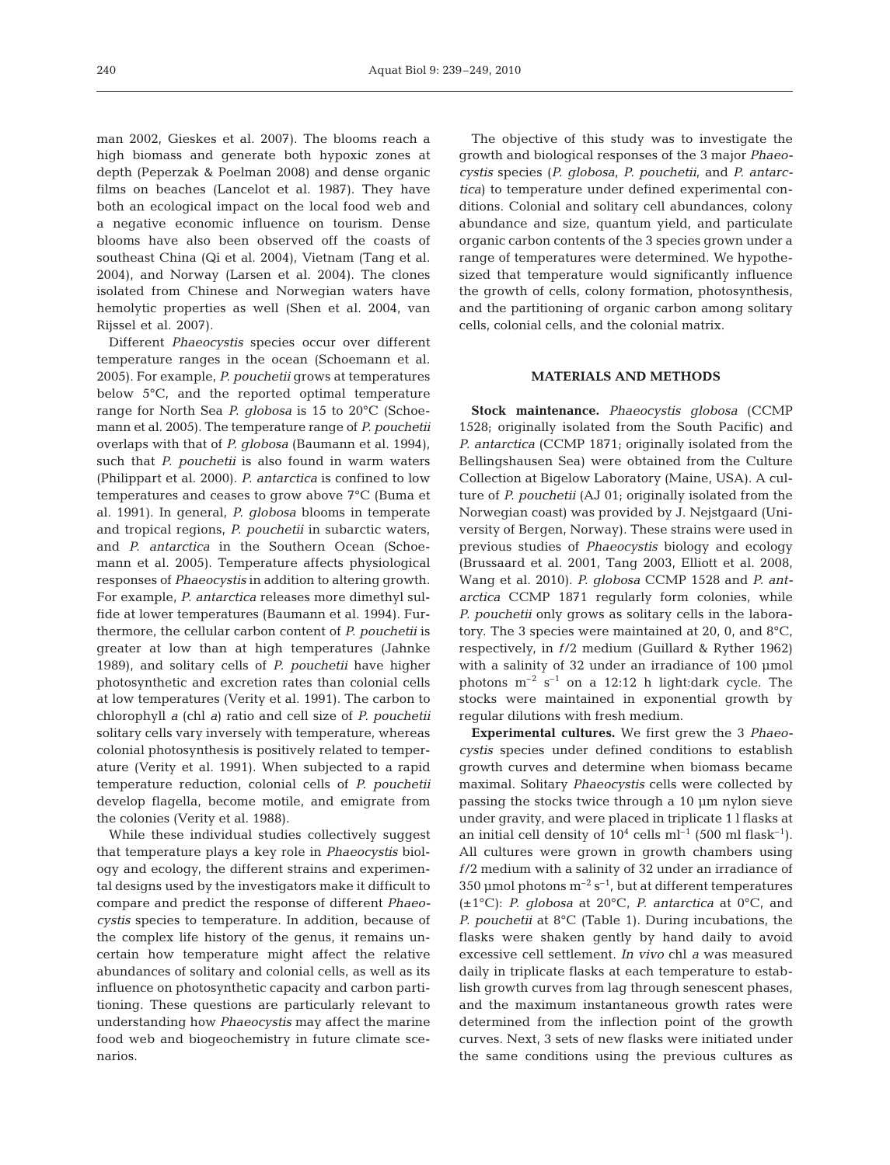man 2002, Gieskes et al. 2007). The blooms reach a high biomass and generate both hypoxic zones at depth (Peperzak & Poelman 2008) and dense organic films on beaches (Lancelot et al. 1987). They have both an ecological impact on the local food web and a negative economic influence on tourism. Dense blooms have also been observed off the coasts of southeast China (Qi et al. 2004), Vietnam (Tang et al. 2004), and Norway (Larsen et al. 2004). The clones isolated from Chinese and Norwegian waters have hemolytic properties as well (Shen et al. 2004, van Rijssel et al. 2007).

Different *Phaeocystis* species occur over different temperature ranges in the ocean (Schoemann et al. 2005). For example, *P. pouchetii* grows at temperatures below 5°C, and the reported optimal temperature range for North Sea *P. globosa* is 15 to 20°C (Schoemann et al. 2005). The temperature range of *P. pouchetii* overlaps with that of *P. globosa* (Baumann et al. 1994), such that *P. pouchetii* is also found in warm waters (Philippart et al. 2000). *P. antarctica* is confined to low temperatures and ceases to grow above 7°C (Buma et al. 1991). In general, *P. globosa* blooms in temperate and tropical regions, *P. pouchetii* in subarctic waters, and *P. antarctica* in the Southern Ocean (Schoemann et al. 2005). Temperature affects physiological responses of *Phaeocystis* in addition to altering growth. For example, *P. antarctica* releases more dimethyl sulfide at lower temperatures (Baumann et al. 1994). Furthermore, the cellular carbon content of *P. pouchetii* is greater at low than at high temperatures (Jahnke 1989), and solitary cells of *P. pouchetii* have higher photosynthetic and excretion rates than colonial cells at low temperatures (Verity et al. 1991). The carbon to chlorophyll *a* (chl *a*) ratio and cell size of *P. pouchetii* solitary cells vary inversely with temperature, whereas colonial photosynthesis is positively related to temperature (Verity et al. 1991). When subjected to a rapid temperature reduction, colonial cells of *P. pouchetii* develop flagella, become motile, and emigrate from the colonies (Verity et al. 1988).

While these individual studies collectively suggest that temperature plays a key role in *Phaeocystis* biology and ecology, the different strains and experimental designs used by the investigators make it difficult to compare and predict the response of different *Phaeocystis* species to temperature. In addition, because of the complex life history of the genus, it remains uncertain how temperature might affect the relative abundances of solitary and colonial cells, as well as its influence on photosynthetic capacity and carbon partitioning. These questions are particularly relevant to understanding how *Phaeocystis* may affect the marine food web and biogeochemistry in future climate scenarios.

The objective of this study was to investigate the growth and biological responses of the 3 major *Phaeocystis* species (*P. globosa*, *P. pouchetii*, and *P. antarctica*) to temperature under defined experimental conditions. Colonial and solitary cell abundances, colony abundance and size, quantum yield, and particulate organic carbon contents of the 3 species grown under a range of temperatures were determined. We hypothesized that temperature would significantly influence the growth of cells, colony formation, photosynthesis, and the partitioning of organic carbon among solitary cells, colonial cells, and the colonial matrix.

# **MATERIALS AND METHODS**

**Stock maintenance.** *Phaeocystis globosa* (CCMP 1528; originally isolated from the South Pacific) and *P. antarctica* (CCMP 1871; originally isolated from the Bellingshausen Sea) were obtained from the Culture Collection at Bigelow Laboratory (Maine, USA). A culture of *P. pouchetii* (AJ 01; originally isolated from the Norwegian coast) was provided by J. Nejstgaard (University of Bergen, Norway). These strains were used in previous studies of *Phaeocystis* biology and ecology (Brussaard et al. 2001, Tang 2003, Elliott et al. 2008, Wang et al. 2010). *P. globosa* CCMP 1528 and *P. antarctica* CCMP 1871 regularly form colonies, while *P. pouchetii* only grows as solitary cells in the laboratory. The 3 species were maintained at 20, 0, and 8°C, respectively, in *f*/2 medium (Guillard & Ryther 1962) with a salinity of 32 under an irradiance of 100 µmol photons  $m^{-2}$  s<sup>-1</sup> on a 12:12 h light:dark cycle. The stocks were maintained in exponential growth by regular dilutions with fresh medium.

**Experimental cultures.** We first grew the 3 *Phaeocystis* species under defined conditions to establish growth curves and determine when biomass became maximal. Solitary *Phaeocystis* cells were collected by passing the stocks twice through a 10 µm nylon sieve under gravity, and were placed in triplicate 1 l flasks at an initial cell density of  $10^4$  cells ml<sup>-1</sup> (500 ml flask<sup>-1</sup>). All cultures were grown in growth chambers using *f*/2 medium with a salinity of 32 under an irradiance of 350 µmol photons  $m^{-2}$  s<sup>-1</sup>, but at different temperatures (±1°C): *P. globosa* at 20°C, *P. antarctica* at 0°C, and *P. pouchetii* at 8°C (Table 1). During incubations, the flasks were shaken gently by hand daily to avoid excessive cell settlement. *In vivo* chl *a* was measured daily in triplicate flasks at each temperature to establish growth curves from lag through senescent phases, and the maximum instantaneous growth rates were determined from the inflection point of the growth curves. Next, 3 sets of new flasks were initiated under the same conditions using the previous cultures as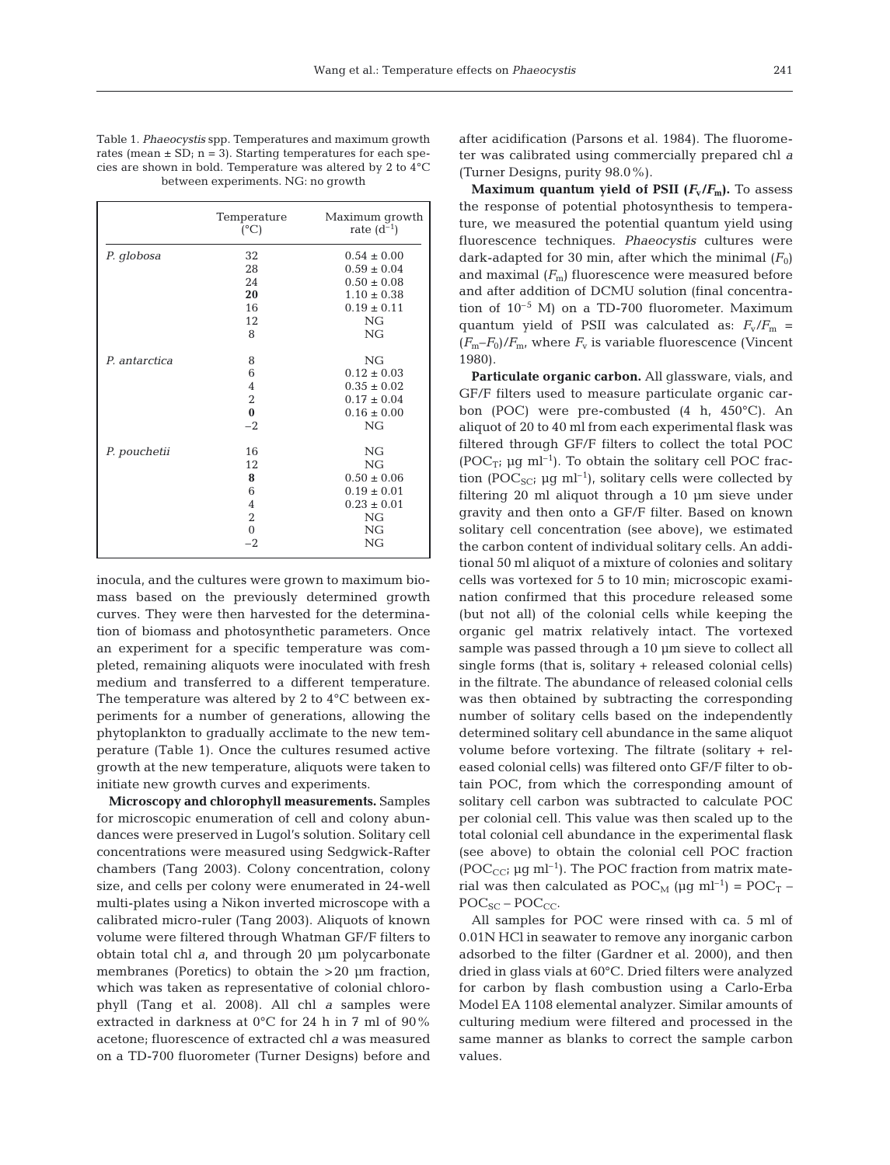| Table 1. <i>Phaeocystis</i> spp. Temperatures and maximum growth     |
|----------------------------------------------------------------------|
| rates (mean $\pm$ SD; n = 3). Starting temperatures for each spe-    |
| cies are shown in bold. Temperature was altered by 2 to $4^{\circ}C$ |
| between experiments. NG: no growth                                   |

|               | Temperature<br>$(^{\circ}C)$ | Maximum growth<br>rate $(d^{-1})$ |
|---------------|------------------------------|-----------------------------------|
| P. globosa    | 32                           | $0.54 \pm 0.00$                   |
|               | 28                           | $0.59 \pm 0.04$                   |
|               | 24                           | $0.50 \pm 0.08$                   |
|               | 20                           | $1.10 \pm 0.38$                   |
|               | 16                           | $0.19 \pm 0.11$                   |
|               | 12                           | NG                                |
|               | 8                            | NG                                |
| P. antarctica | 8                            | NG                                |
|               | 6                            | $0.12 \pm 0.03$                   |
|               | $\overline{4}$               | $0.35 \pm 0.02$                   |
|               | $\overline{2}$               | $0.17 \pm 0.04$                   |
|               | $\bf{0}$                     | $0.16 \pm 0.00$                   |
|               | $-2$                         | NG                                |
| P. pouchetii  | 16                           | NG                                |
|               | 12                           | NG                                |
|               | 8                            | $0.50 \pm 0.06$                   |
|               | 6                            | $0.19 \pm 0.01$                   |
|               | $\overline{4}$               | $0.23 \pm 0.01$                   |
|               | $\sqrt{2}$                   | NG                                |
|               | $\boldsymbol{0}$             | NG                                |
|               | $-2$                         | NG                                |

inocula, and the cultures were grown to maximum biomass based on the previously determined growth curves. They were then harvested for the determination of biomass and photosynthetic parameters. Once an experiment for a specific temperature was completed, remaining aliquots were inoculated with fresh medium and transferred to a different temperature. The temperature was altered by 2 to 4°C between experiments for a number of generations, allowing the phytoplankton to gradually acclimate to the new temperature (Table 1). Once the cultures resumed active growth at the new temperature, aliquots were taken to initiate new growth curves and experiments.

**Microscopy and chlorophyll measurements.** Samples for microscopic enumeration of cell and colony abundances were preserved in Lugol's solution. Solitary cell concentrations were measured using Sedgwick-Rafter chambers (Tang 2003). Colony concentration, colony size, and cells per colony were enumerated in 24-well multi-plates using a Nikon inverted microscope with a calibrated micro-ruler (Tang 2003). Aliquots of known volume were filtered through Whatman GF/F filters to obtain total chl *a*, and through 20 µm polycarbonate membranes (Poretics) to obtain the >20 µm fraction, which was taken as representative of colonial chlorophyll (Tang et al. 2008). All chl *a* samples were extracted in darkness at 0°C for 24 h in 7 ml of 90% acetone; fluorescence of extracted chl *a* was measured on a TD-700 fluorometer (Turner Designs) before and after acidification (Parsons et al. 1984). The fluorometer was calibrated using commercially prepared chl *a* (Turner Designs, purity 98.0%).

**Maximum quantum yield of PSII**  $(F_v/F_m)$ **.** To assess the response of potential photosynthesis to temperature, we measured the potential quantum yield using fluorescence techniques. *Phaeocystis* cultures were dark-adapted for 30 min, after which the minimal  $(F_0)$ and maximal  $(F_m)$  fluorescence were measured before and after addition of DCMU solution (final concentration of  $10^{-5}$  M) on a TD-700 fluorometer. Maximum quantum yield of PSII was calculated as:  $F_v/F_m$  =  $(F_m-F_0)/F_m$ , where  $F_v$  is variable fluorescence (Vincent 1980).

**Particulate organic carbon.** All glassware, vials, and GF/F filters used to measure particulate organic carbon (POC) were pre-combusted (4 h, 450°C). An aliquot of 20 to 40 ml from each experimental flask was filtered through GF/F filters to collect the total POC  $(POC_{T}$ ; µg ml<sup>-1</sup>). To obtain the solitary cell POC fraction (POC<sub>SC</sub>;  $\mu$ g ml<sup>-1</sup>), solitary cells were collected by filtering 20 ml aliquot through a 10 µm sieve under gravity and then onto a GF/F filter. Based on known solitary cell concentration (see above), we estimated the carbon content of individual solitary cells. An additional 50 ml aliquot of a mixture of colonies and solitary cells was vortexed for 5 to 10 min; microscopic examination confirmed that this procedure released some (but not all) of the colonial cells while keeping the organic gel matrix relatively intact. The vortexed sample was passed through a 10  $\mu$ m sieve to collect all single forms (that is, solitary + released colonial cells) in the filtrate. The abundance of released colonial cells was then obtained by subtracting the corresponding number of solitary cells based on the independently determined solitary cell abundance in the same aliquot volume before vortexing. The filtrate (solitary + released colonial cells) was filtered onto GF/F filter to obtain POC, from which the corresponding amount of solitary cell carbon was subtracted to calculate POC per colonial cell. This value was then scaled up to the total colonial cell abundance in the experimental flask (see above) to obtain the colonial cell POC fraction (POC<sub>CC</sub>;  $\mu$ g ml<sup>-1</sup>). The POC fraction from matrix material was then calculated as  $\text{POC}_M$  ( $\mu$ g ml<sup>-1</sup>) =  $\text{POC}_T$  –  $\text{POC}_{\text{SC}} - \text{POC}_{\text{CC}}$ .

All samples for POC were rinsed with ca. 5 ml of 0.01N HCl in seawater to remove any inorganic carbon adsorbed to the filter (Gardner et al. 2000), and then dried in glass vials at 60°C. Dried filters were analyzed for carbon by flash combustion using a Carlo-Erba Model EA 1108 elemental analyzer. Similar amounts of culturing medium were filtered and processed in the same manner as blanks to correct the sample carbon values.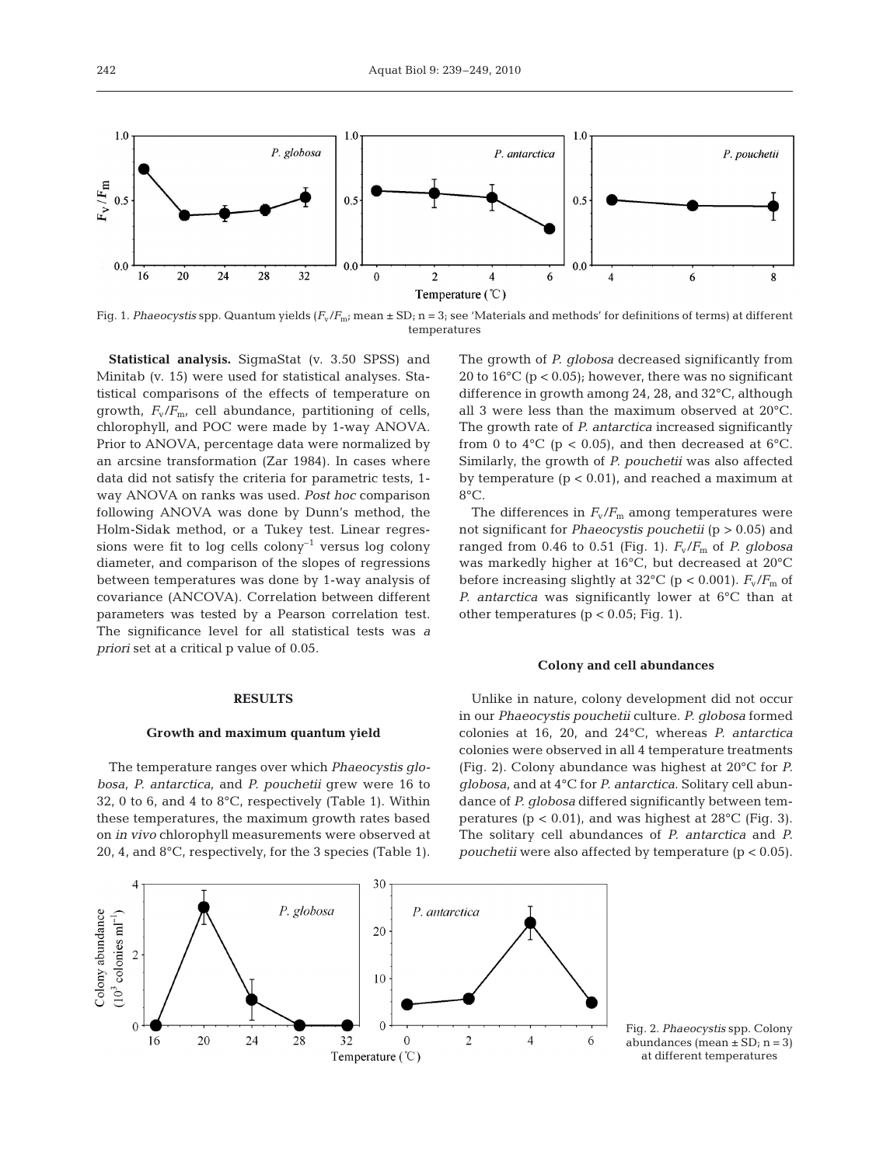

Fig. 1. *Phaeocystis* spp. Quantum yields ( $F_v/F_m$ ; mean  $\pm$  SD; n = 3; see 'Materials and methods' for definitions of terms) at different temperatures

**Statistical analysis.** SigmaStat (v. 3.50 SPSS) and Minitab (v. 15) were used for statistical analyses. Statistical comparisons of the effects of temperature on growth, *F*v/*F*m, cell abundance, partitioning of cells, chlorophyll, and POC were made by 1-way ANOVA. Prior to ANOVA, percentage data were normalized by an arcsine transformation (Zar 1984). In cases where data did not satisfy the criteria for parametric tests, 1 way ANOVA on ranks was used. *Post hoc* comparison following ANOVA was done by Dunn's method, the Holm-Sidak method, or a Tukey test. Linear regressions were fit to log cells colony<sup>-1</sup> versus log colony diameter, and comparison of the slopes of regressions between temperatures was done by 1-way analysis of covariance (ANCOVA). Correlation between different parameters was tested by a Pearson correlation test. The significance level for all statistical tests was *a priori* set at a critical p value of 0.05.

## **RESULTS**

#### **Growth and maximum quantum yield**

The temperature ranges over which *Phaeocystis globosa*, *P. antarctica*, and *P. pouchetii* grew were 16 to 32, 0 to 6, and 4 to  $8^{\circ}$ C, respectively (Table 1). Within these temperatures, the maximum growth rates based on *in vivo* chlorophyll measurements were observed at 20, 4, and 8°C, respectively, for the 3 species (Table 1). The growth of *P. globosa* decreased significantly from 20 to  $16^{\circ}$ C (p < 0.05); however, there was no significant difference in growth among 24, 28, and 32°C, although all 3 were less than the maximum observed at 20°C. The growth rate of *P. antarctica* increased significantly from 0 to 4 $\degree$ C (p < 0.05), and then decreased at 6 $\degree$ C. Similarly, the growth of *P. pouchetii* was also affected by temperature  $(p < 0.01)$ , and reached a maximum at 8°C.

The differences in  $F_v/F_m$  among temperatures were not significant for *Phaeocystis pouchetii* (p > 0.05) and ranged from 0.46 to 0.51 (Fig. 1).  $F_v/F_m$  of *P. globosa* was markedly higher at 16°C, but decreased at 20°C before increasing slightly at 32 $^{\circ}$ C (p < 0.001).  $F_{\text{v}}/F_{\text{m}}$  of *P. antarctica* was significantly lower at 6°C than at other temperatures ( $p < 0.05$ ; Fig. 1).

#### **Colony and cell abundances**

Unlike in nature, colony development did not occur in our *Phaeocystis pouchetii* culture. *P. globosa* formed colonies at 16, 20, and 24°C, whereas *P. antarctica* colonies were observed in all 4 temperature treatments (Fig. 2). Colony abundance was highest at 20°C for *P. globosa*, and at 4°C for *P. antarctica*. Solitary cell abundance of *P. globosa* differed significantly between temperatures ( $p < 0.01$ ), and was highest at 28 $^{\circ}$ C (Fig. 3). The solitary cell abundances of *P. antarctica* and *P. pouchetii* were also affected by temperature (p < 0.05).



Fig. 2. *Phaeocystis* spp. Colony abundances (mean  $\pm$  SD; n = 3) at different temperatures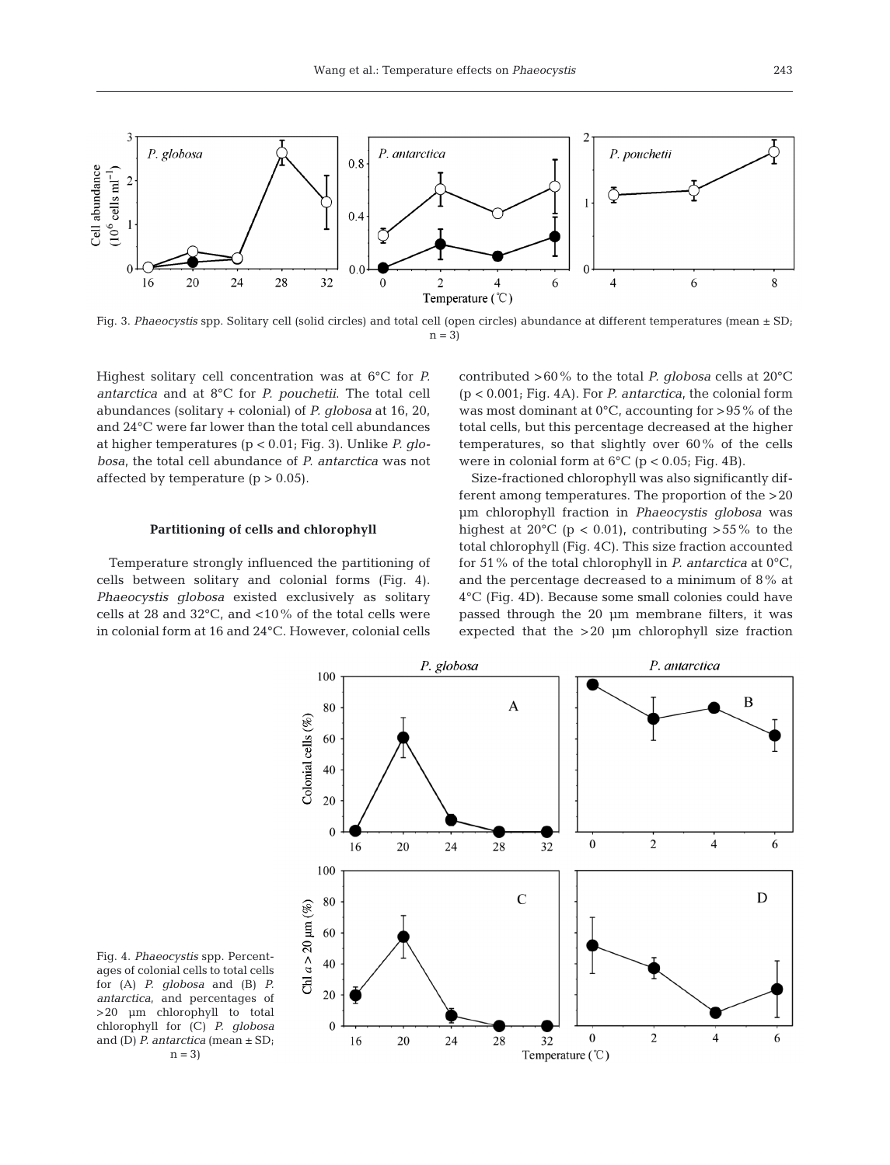

Fig. 3. *Phaeocystis* spp. Solitary cell (solid circles) and total cell (open circles) abundance at different temperatures (mean  $\pm$  SD;  $n = 3$ 

Highest solitary cell concentration was at 6°C for *P. antarctica* and at 8°C for *P. pouchetii*. The total cell abundances (solitary + colonial) of *P. globosa* at 16, 20, and 24°C were far lower than the total cell abundances at higher temperatures (p < 0.01; Fig. 3). Unlike *P. globosa*, the total cell abundance of *P. antarctica* was not affected by temperature  $(p > 0.05)$ .

## **Partitioning of cells and chlorophyll**

Temperature strongly influenced the partitioning of cells between solitary and colonial forms (Fig. 4). *Phaeocystis globosa* existed exclusively as solitary cells at 28 and 32°C, and <10% of the total cells were in colonial form at 16 and 24°C. However, colonial cells contributed >60% to the total *P. globosa* cells at 20°C (p < 0.001; Fig. 4A). For *P. antarctica*, the colonial form was most dominant at  $0^{\circ}$ C, accounting for >95% of the total cells, but this percentage decreased at the higher temperatures, so that slightly over 60% of the cells were in colonial form at  $6^{\circ}C$  (p < 0.05; Fig. 4B).

Size-fractioned chlorophyll was also significantly different among temperatures. The proportion of the >20 µm chlorophyll fraction in *Phaeocystis globosa* was highest at  $20^{\circ}$ C (p < 0.01), contributing >55% to the total chlorophyll (Fig. 4C). This size fraction accounted for 51% of the total chlorophyll in *P. antarctica* at 0°C, and the percentage decreased to a minimum of 8% at 4°C (Fig. 4D). Because some small colonies could have passed through the 20 µm membrane filters, it was expected that the >20 µm chlorophyll size fraction



Fig. 4. *Phaeocystis* spp. Percentages of colonial cells to total cells for (A) *P. globosa* and (B) *P. antarctica*, and percentages of >20 µm chlorophyll to total chlorophyll for (C) *P. globosa* and (D) *P. antarctica* (mean ± SD;  $n = 3$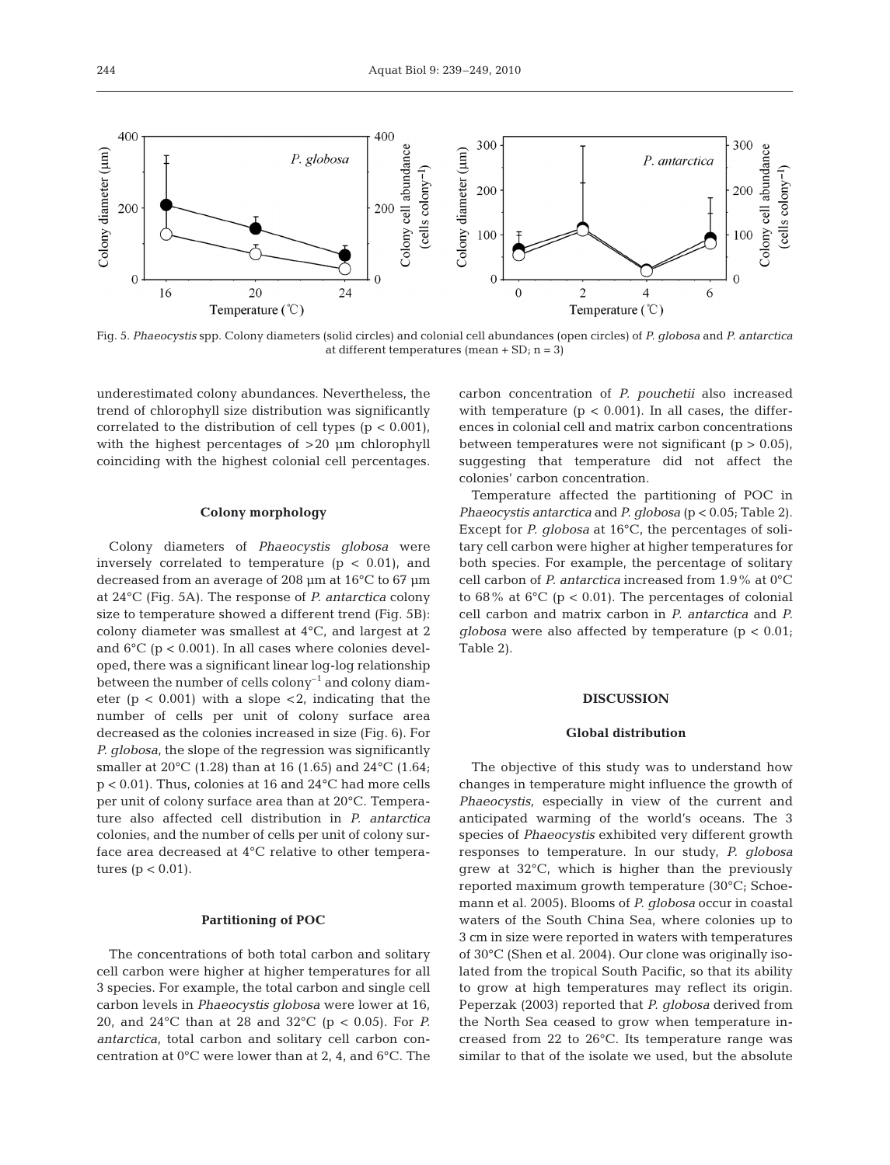

Fig. 5. *Phaeocystis* spp. Colony diameters (solid circles) and colonial cell abundances (open circles) of *P. globosa* and *P. antarctica* at different temperatures (mean  $+$  SD; n = 3)

underestimated colony abundances. Nevertheless, the trend of chlorophyll size distribution was significantly correlated to the distribution of cell types  $(p < 0.001)$ , with the highest percentages of >20 µm chlorophyll coinciding with the highest colonial cell percentages.

#### **Colony morphology**

Colony diameters of *Phaeocystis globosa* were inversely correlated to temperature  $(p < 0.01)$ , and decreased from an average of 208 µm at 16°C to 67 µm at 24°C (Fig. 5A). The response of *P. antarctica* colony size to temperature showed a different trend (Fig. 5B): colony diameter was smallest at 4°C, and largest at 2 and  $6^{\circ}$ C (p < 0.001). In all cases where colonies developed, there was a significant linear log-log relationship between the number of cells  $\text{color}^{-1}$  and colony diameter ( $p < 0.001$ ) with a slope  $\langle 2 \rangle$ , indicating that the number of cells per unit of colony surface area decreased as the colonies increased in size (Fig. 6). For *P. globosa*, the slope of the regression was significantly smaller at 20°C (1.28) than at 16 (1.65) and 24°C (1.64; p < 0.01). Thus, colonies at 16 and 24°C had more cells per unit of colony surface area than at 20°C. Temperature also affected cell distribution in *P. antarctica* colonies, and the number of cells per unit of colony surface area decreased at 4°C relative to other temperatures ( $p < 0.01$ ).

# **Partitioning of POC**

The concentrations of both total carbon and solitary cell carbon were higher at higher temperatures for all 3 species. For example, the total carbon and single cell carbon levels in *Phaeocystis globosa* were lower at 16, 20, and 24°C than at 28 and 32°C (p < 0.05). For *P. antarctica*, total carbon and solitary cell carbon concentration at 0°C were lower than at 2, 4, and 6°C. The

carbon concentration of *P. pouchetii* also increased with temperature ( $p < 0.001$ ). In all cases, the differences in colonial cell and matrix carbon concentrations between temperatures were not significant ( $p > 0.05$ ), suggesting that temperature did not affect the colonies' carbon concentration.

Temperature affected the partitioning of POC in *Phaeocystis antarctica* and *P. globosa* (p < 0.05; Table 2). Except for *P. globosa* at 16°C, the percentages of solitary cell carbon were higher at higher temperatures for both species. For example, the percentage of solitary cell carbon of *P. antarctica* increased from 1.9% at 0°C to 68% at 6 $\degree$ C (p < 0.01). The percentages of colonial cell carbon and matrix carbon in *P. antarctica* and *P. globosa* were also affected by temperature  $(p < 0.01)$ Table 2).

## **DISCUSSION**

## **Global distribution**

The objective of this study was to understand how changes in temperature might influence the growth of *Phaeocystis*, especially in view of the current and anticipated warming of the world's oceans. The 3 species of *Phaeocystis* exhibited very different growth responses to temperature. In our study, *P. globosa* grew at 32°C, which is higher than the previously reported maximum growth temperature (30°C; Schoemann et al. 2005). Blooms of *P. globosa* occur in coastal waters of the South China Sea, where colonies up to 3 cm in size were reported in waters with temperatures of 30°C (Shen et al. 2004). Our clone was originally isolated from the tropical South Pacific, so that its ability to grow at high temperatures may reflect its origin. Peperzak (2003) reported that *P. globosa* derived from the North Sea ceased to grow when temperature increased from 22 to 26°C. Its temperature range was similar to that of the isolate we used, but the absolute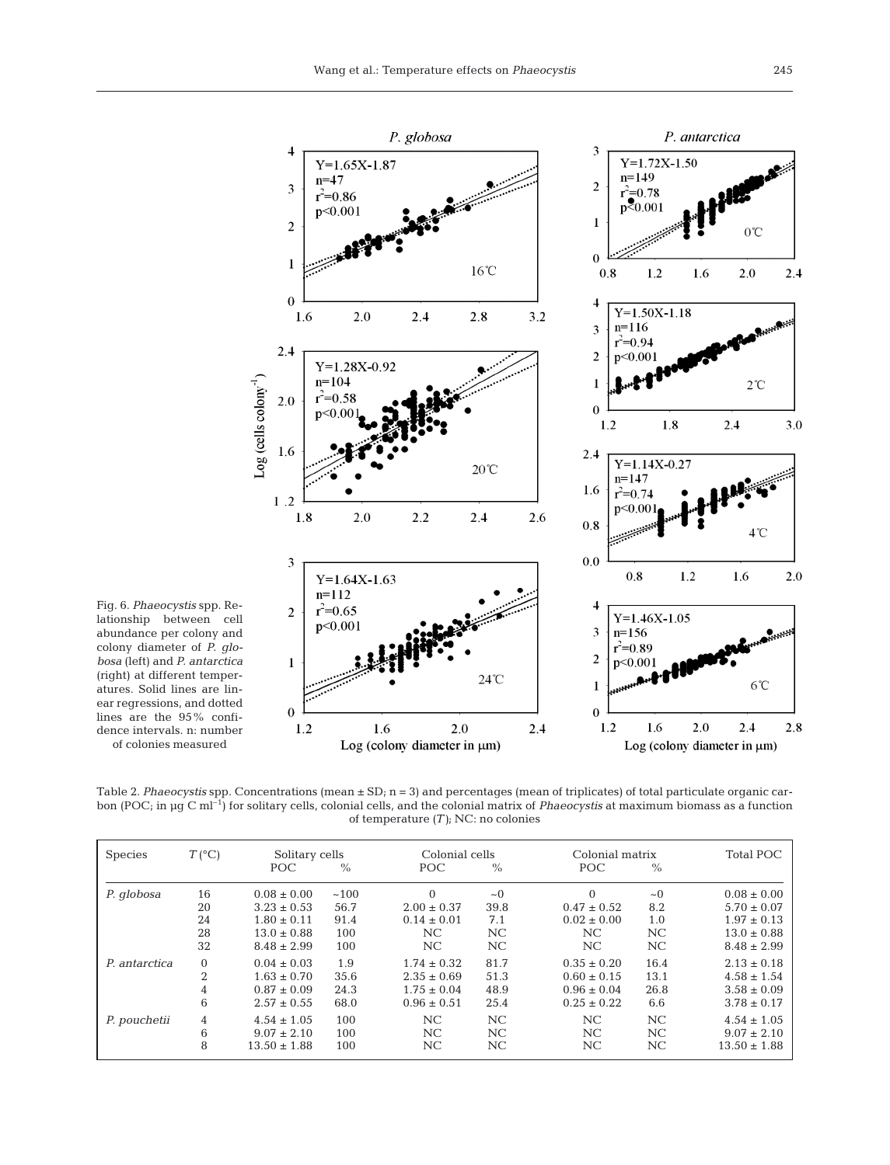

Fig. 6. *Phaeocystis* spp. Relationship between cell abundance per colony and colony diameter of *P. globosa* (left) and *P. antarctica* (right) at different temperatures. Solid lines are linear regressions, and dotted lines are the 95% confidence intervals. n: number

of colonies measured

Table 2. *Phaeocystis* spp. Concentrations (mean  $\pm$  SD; n = 3) and percentages (mean of triplicates) of total particulate organic carbon (POC; in µg C ml–1) for solitary cells, colonial cells, and the colonial matrix of *Phaeocystis* at maximum biomass as a function of temperature *(T)*; NC: no colonies

| <b>Species</b> | $T(^{\circ}C)$ | Solitary cells   |               | Colonial cells  |          |                 | Colonial matrix |                  |
|----------------|----------------|------------------|---------------|-----------------|----------|-----------------|-----------------|------------------|
|                |                | POC.             | $\frac{0}{0}$ | POC             | $\%$     | POC             | $\frac{0}{0}$   |                  |
| P. globosa     | 16             | $0.08 \pm 0.00$  | ~100          | $\Omega$        | $\sim 0$ | $\Omega$        | $\sim$ 0        | $0.08 \pm 0.00$  |
|                | 20             | $3.23 \pm 0.53$  | 56.7          | $2.00 \pm 0.37$ | 39.8     | $0.47 \pm 0.52$ | 8.2             | $5.70 \pm 0.07$  |
|                | 24             | $1.80 \pm 0.11$  | 91.4          | $0.14 \pm 0.01$ | 7.1      | $0.02 \pm 0.00$ | 1.0             | $1.97 \pm 0.13$  |
|                | 28             | $13.0 \pm 0.88$  | 100           | NC.             | NC       | NC              | NC              | $13.0 \pm 0.88$  |
|                | 32             | $8.48 \pm 2.99$  | 100           | NC              | NC       | NC              | NC              | $8.48 \pm 2.99$  |
| P. antarctica  | $\Omega$       | $0.04 \pm 0.03$  | 1.9           | $1.74 \pm 0.32$ | 81.7     | $0.35 \pm 0.20$ | 16.4            | $2.13 \pm 0.18$  |
|                | $\overline{2}$ | $1.63 \pm 0.70$  | 35.6          | $2.35 \pm 0.69$ | 51.3     | $0.60 \pm 0.15$ | 13.1            | $4.58 \pm 1.54$  |
|                | 4              | $0.87 \pm 0.09$  | 24.3          | $1.75 \pm 0.04$ | 48.9     | $0.96 \pm 0.04$ | 26.8            | $3.58 \pm 0.09$  |
|                | 6              | $2.57 \pm 0.55$  | 68.0          | $0.96 \pm 0.51$ | 25.4     | $0.25 \pm 0.22$ | 6.6             | $3.78 \pm 0.17$  |
| P. pouchetii   | 4              | $4.54 \pm 1.05$  | 100           | NC              | NC       | NC              | NC              | $4.54 \pm 1.05$  |
|                | 6              | $9.07 \pm 2.10$  | 100           | NC.             | NC.      | NC              | NC.             | $9.07 \pm 2.10$  |
|                | 8              | $13.50 \pm 1.88$ | 100           | NC              | NC       | NC              | NC              | $13.50 \pm 1.88$ |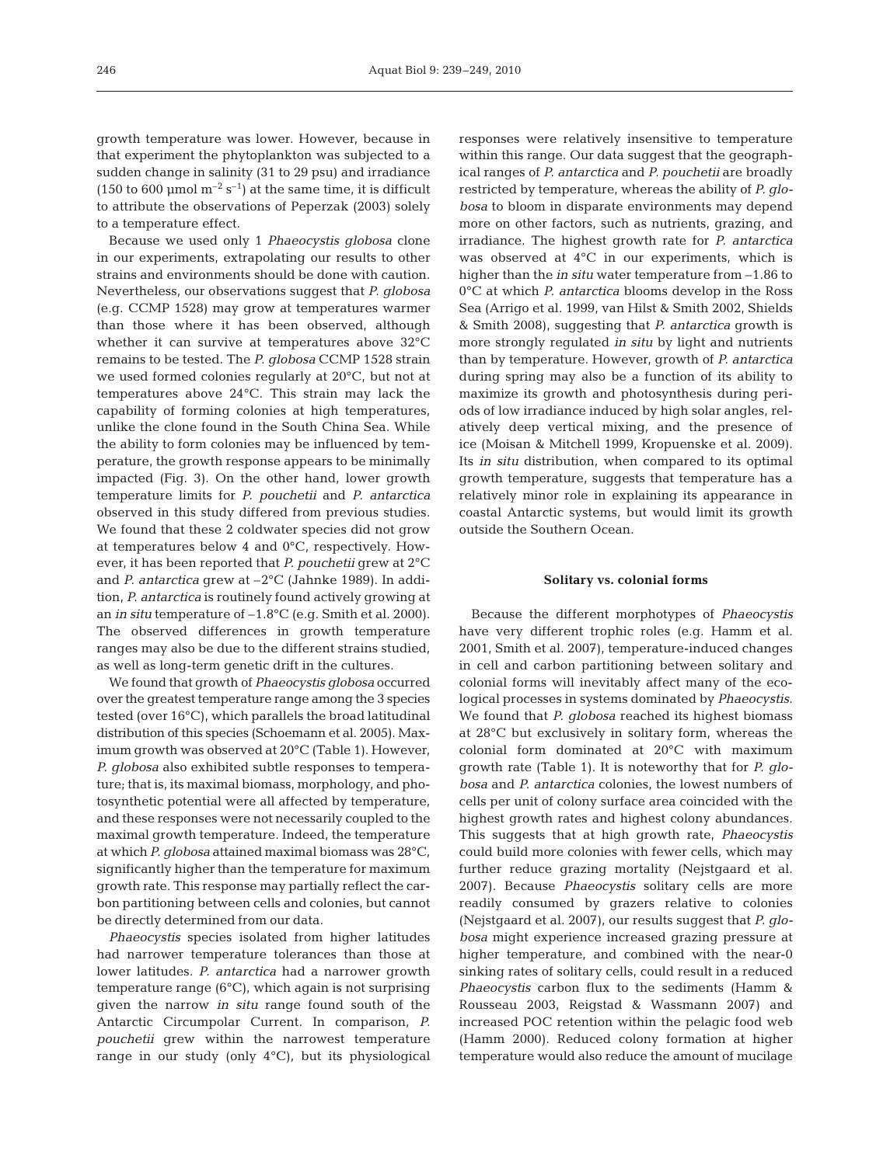growth temperature was lower. However, because in that experiment the phytoplankton was subjected to a sudden change in salinity (31 to 29 psu) and irradiance (150 to 600 µmol  $m^{-2}$  s<sup>-1</sup>) at the same time, it is difficult to attribute the observations of Peperzak (2003) solely to a temperature effect.

Because we used only 1 *Phaeocystis globosa* clone in our experiments, extrapolating our results to other strains and environments should be done with caution. Nevertheless, our observations suggest that *P. globosa* (e.g. CCMP 1528) may grow at temperatures warmer than those where it has been observed, although whether it can survive at temperatures above 32°C remains to be tested. The *P. globosa* CCMP 1528 strain we used formed colonies regularly at 20°C, but not at temperatures above 24°C. This strain may lack the capability of forming colonies at high temperatures, unlike the clone found in the South China Sea. While the ability to form colonies may be influenced by temperature, the growth response appears to be minimally impacted (Fig. 3). On the other hand, lower growth temperature limits for *P. pouchetii* and *P. antarctica* observed in this study differed from previous studies. We found that these 2 coldwater species did not grow at temperatures below 4 and 0°C, respectively. However, it has been reported that *P. pouchetii* grew at 2°C and *P. antarctica* grew at –2°C (Jahnke 1989). In addition, *P. antarctica* is routinely found actively growing at an *in situ* temperature of –1.8°C (e.g. Smith et al. 2000). The observed differences in growth temperature ranges may also be due to the different strains studied, as well as long-term genetic drift in the cultures.

We found that growth of *Phaeocystis globosa* occurred over the greatest temperature range among the 3 species tested (over 16°C), which parallels the broad latitudinal distribution of this species (Schoemann et al. 2005). Maximum growth was observed at 20°C (Table 1). However, *P. globosa* also exhibited subtle responses to temperature; that is, its maximal biomass, morphology, and photosynthetic potential were all affected by temperature, and these responses were not necessarily coupled to the maximal growth temperature. Indeed, the temperature at which *P. globosa* attained maximal biomass was 28°C, significantly higher than the temperature for maximum growth rate. This response may partially reflect the carbon partitioning between cells and colonies, but cannot be directly determined from our data.

*Phaeocystis* species isolated from higher latitudes had narrower temperature tolerances than those at lower latitudes. *P. antarctica* had a narrower growth temperature range (6°C), which again is not surprising given the narrow *in situ* range found south of the Antarctic Circumpolar Current. In comparison, *P. pouchetii* grew within the narrowest temperature range in our study (only  $4^{\circ}$ C), but its physiological responses were relatively insensitive to temperature within this range. Our data suggest that the geographical ranges of *P. antarctica* and *P. pouchetii* are broadly restricted by temperature, whereas the ability of *P. globosa* to bloom in disparate environments may depend more on other factors, such as nutrients, grazing, and irradiance. The highest growth rate for *P. antarctica* was observed at 4°C in our experiments, which is higher than the *in situ* water temperature from –1.86 to 0°C at which *P. antarctica* blooms develop in the Ross Sea (Arrigo et al. 1999, van Hilst & Smith 2002, Shields & Smith 2008), suggesting that *P. antarctica* growth is more strongly regulated *in situ* by light and nutrients than by temperature. However, growth of *P. antarctica* during spring may also be a function of its ability to maximize its growth and photosynthesis during periods of low irradiance induced by high solar angles, relatively deep vertical mixing, and the presence of ice (Moisan & Mitchell 1999, Kropuenske et al. 2009). Its *in situ* distribution, when compared to its optimal growth temperature, suggests that temperature has a relatively minor role in explaining its appearance in coastal Antarctic systems, but would limit its growth outside the Southern Ocean.

#### **Solitary vs. colonial forms**

Because the different morphotypes of *Phaeocystis* have very different trophic roles (e.g. Hamm et al. 2001, Smith et al. 2007), temperature-induced changes in cell and carbon partitioning between solitary and colonial forms will inevitably affect many of the ecological processes in systems dominated by *Phaeocystis*. We found that *P. globosa* reached its highest biomass at 28°C but exclusively in solitary form, whereas the colonial form dominated at 20°C with maximum growth rate (Table 1). It is noteworthy that for *P. globosa* and *P. antarctica* colonies, the lowest numbers of cells per unit of colony surface area coincided with the highest growth rates and highest colony abundances. This suggests that at high growth rate, *Phaeocystis* could build more colonies with fewer cells, which may further reduce grazing mortality (Nejstgaard et al. 2007). Because *Phaeocystis* solitary cells are more readily consumed by grazers relative to colonies (Nejstgaard et al. 2007), our results suggest that *P. globosa* might experience increased grazing pressure at higher temperature, and combined with the near-0 sinking rates of solitary cells, could result in a reduced *Phaeocystis* carbon flux to the sediments (Hamm & Rousseau 2003, Reigstad & Wassmann 2007) and increased POC retention within the pelagic food web (Hamm 2000). Reduced colony formation at higher temperature would also reduce the amount of mucilage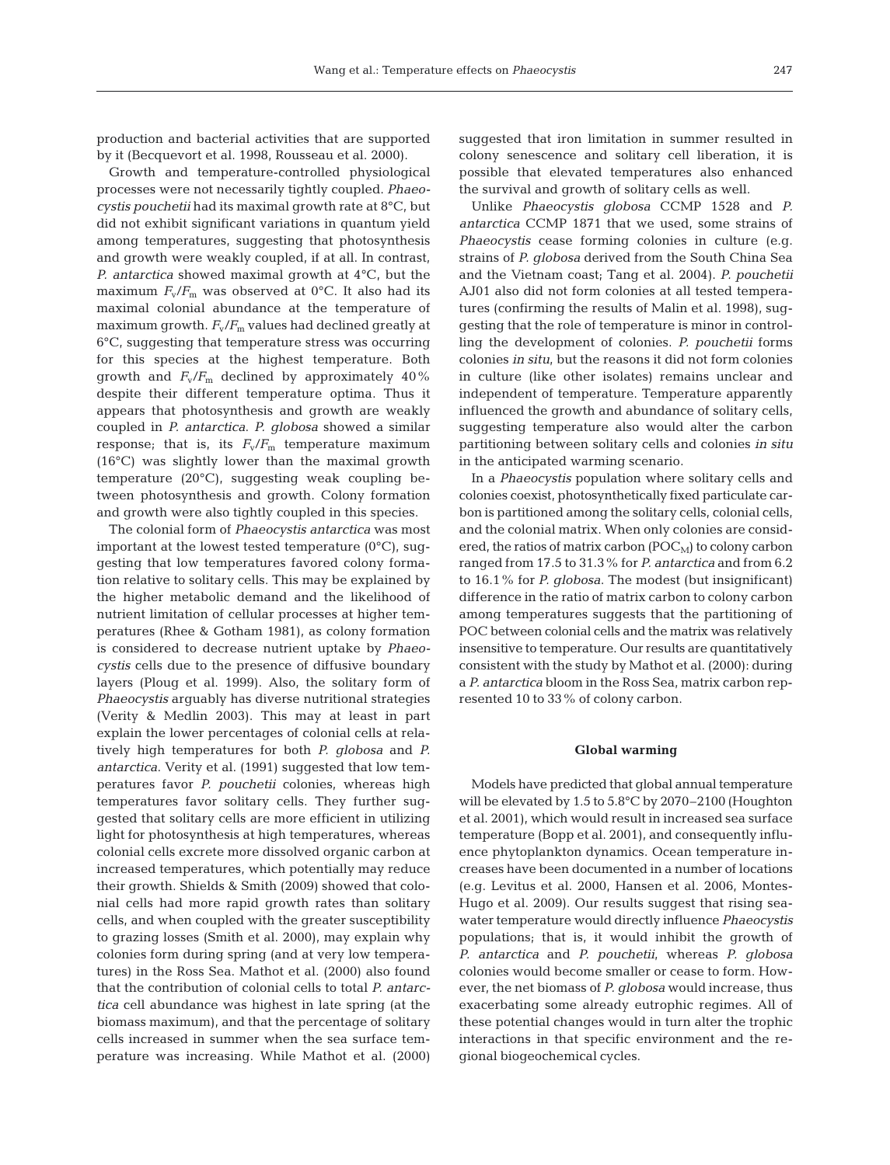production and bacterial activities that are supported by it (Becquevort et al. 1998, Rousseau et al. 2000).

Growth and temperature-controlled physiological processes were not necessarily tightly coupled. *Phaeocystis pouchetii* had its maximal growth rate at 8°C, but did not exhibit significant variations in quantum yield among temperatures, suggesting that photosynthesis and growth were weakly coupled, if at all. In contrast, *P. antarctica* showed maximal growth at 4°C, but the maximum  $F_v/F_m$  was observed at 0°C. It also had its maximal colonial abundance at the temperature of maximum growth.  $F_v/F_m$  values had declined greatly at 6°C, suggesting that temperature stress was occurring for this species at the highest temperature. Both growth and  $F_v/F_m$  declined by approximately 40% despite their different temperature optima. Thus it appears that photosynthesis and growth are weakly coupled in *P. antarctica*. *P. globosa* showed a similar response; that is, its  $F_v/F_m$  temperature maximum (16°C) was slightly lower than the maximal growth temperature (20°C), suggesting weak coupling between photosynthesis and growth. Colony formation and growth were also tightly coupled in this species.

The colonial form of *Phaeocystis antarctica* was most important at the lowest tested temperature  $(0^{\circ}C)$ , suggesting that low temperatures favored colony formation relative to solitary cells. This may be explained by the higher metabolic demand and the likelihood of nutrient limitation of cellular processes at higher temperatures (Rhee & Gotham 1981), as colony formation is considered to decrease nutrient uptake by *Phaeocystis* cells due to the presence of diffusive boundary layers (Ploug et al. 1999). Also, the solitary form of *Phaeocystis* arguably has diverse nutritional strategies (Verity & Medlin 2003). This may at least in part explain the lower percentages of colonial cells at relatively high temperatures for both *P. globosa* and *P. antarctica*. Verity et al. (1991) suggested that low temperatures favor *P. pouchetii* colonies, whereas high temperatures favor solitary cells. They further suggested that solitary cells are more efficient in utilizing light for photosynthesis at high temperatures, whereas colonial cells excrete more dissolved organic carbon at increased temperatures, which potentially may reduce their growth. Shields & Smith (2009) showed that colonial cells had more rapid growth rates than solitary cells, and when coupled with the greater susceptibility to grazing losses (Smith et al. 2000), may explain why colonies form during spring (and at very low temperatures) in the Ross Sea. Mathot et al. (2000) also found that the contribution of colonial cells to total *P. antarctica* cell abundance was highest in late spring (at the biomass maximum), and that the percentage of solitary cells increased in summer when the sea surface temperature was increasing. While Mathot et al. (2000)

suggested that iron limitation in summer resulted in colony senescence and solitary cell liberation, it is possible that elevated temperatures also enhanced the survival and growth of solitary cells as well.

Unlike *Phaeocystis globosa* CCMP 1528 and *P. antarctica* CCMP 1871 that we used, some strains of *Phaeocystis* cease forming colonies in culture (e.g. strains of *P. globosa* derived from the South China Sea and the Vietnam coast; Tang et al. 2004). *P. pouchetii* AJ01 also did not form colonies at all tested temperatures (confirming the results of Malin et al. 1998), suggesting that the role of temperature is minor in controlling the development of colonies. *P. pouchetii* forms colonies *in situ*, but the reasons it did not form colonies in culture (like other isolates) remains unclear and independent of temperature. Temperature apparently influenced the growth and abundance of solitary cells, suggesting temperature also would alter the carbon partitioning between solitary cells and colonies *in situ* in the anticipated warming scenario.

In a *Phaeocystis* population where solitary cells and colonies coexist, photosynthetically fixed particulate carbon is partitioned among the solitary cells, colonial cells, and the colonial matrix. When only colonies are considered, the ratios of matrix carbon  $(POC_M)$  to colony carbon ranged from 17.5 to 31.3% for *P. antarctica* and from 6.2 to 16.1% for *P. globosa*. The modest (but insignificant) difference in the ratio of matrix carbon to colony carbon among temperatures suggests that the partitioning of POC between colonial cells and the matrix was relatively insensitive to temperature. Our results are quantitatively consistent with the study by Mathot et al. (2000): during a *P. antarctica* bloom in the Ross Sea, matrix carbon represented 10 to 33% of colony carbon.

## **Global warming**

Models have predicted that global annual temperature will be elevated by 1.5 to 5.8°C by 2070–2100 (Houghton et al. 2001), which would result in increased sea surface temperature (Bopp et al. 2001), and consequently influence phytoplankton dynamics. Ocean temperature increases have been documented in a number of locations (e.g. Levitus et al. 2000, Hansen et al. 2006, Montes-Hugo et al. 2009). Our results suggest that rising seawater temperature would directly influence *Phaeocystis* populations; that is, it would inhibit the growth of *P. antarctica* and *P. pouchetii*, whereas *P. globosa* colonies would become smaller or cease to form. However, the net biomass of *P. globosa* would increase, thus exacerbating some already eutrophic regimes. All of these potential changes would in turn alter the trophic interactions in that specific environment and the regional biogeochemical cycles.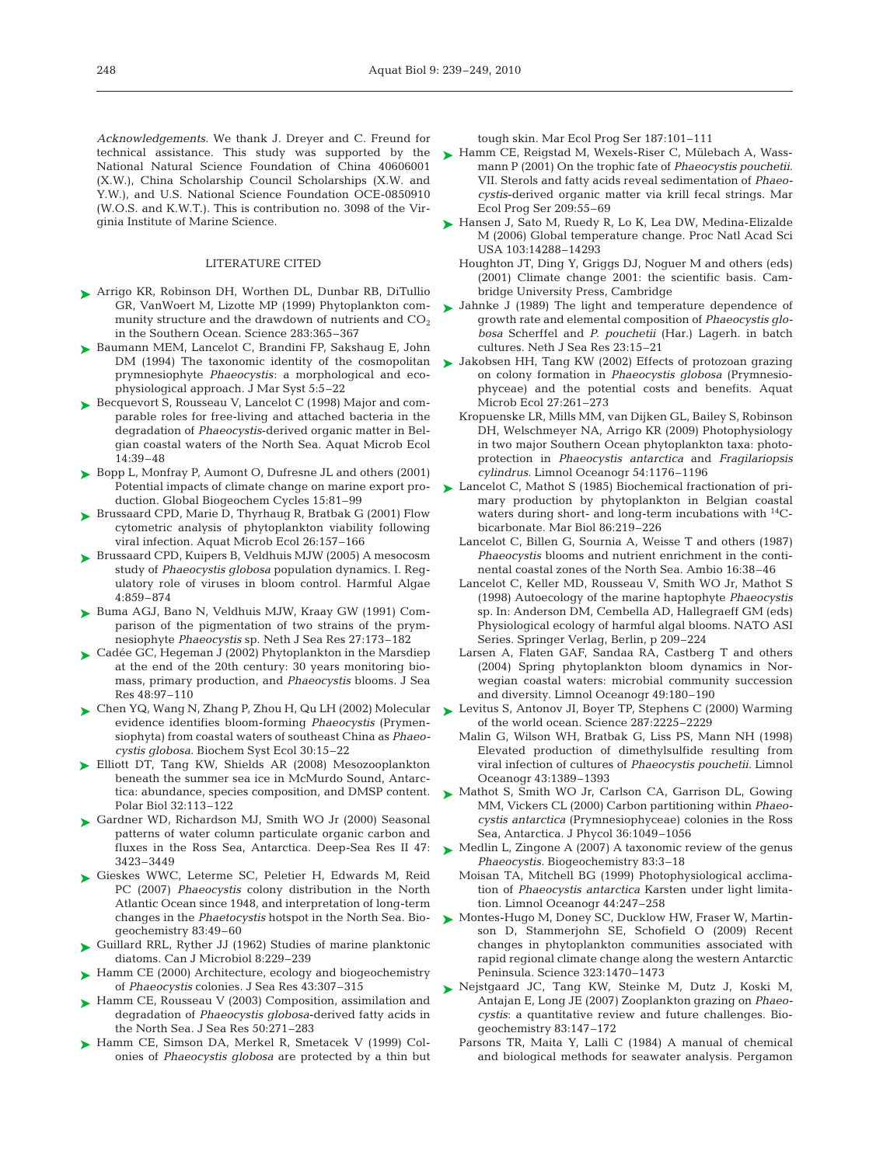*Acknowledgements.* We thank J. Dreyer and C. Freund for technical assistance. This study was supported by the National Natural Science Foundation of China 40606001 (X.W.), China Scholarship Council Scholarships (X.W. and Y.W.), and U.S. National Science Foundation OCE-0850910 (W.O.S. and K.W.T.). This is contribution no. 3098 of the Virginia Institute of Marine Science.

#### LITERATURE CITED

- ► Arrigo KR, Robinson DH, Worthen DL, Dunbar RB, DiTullio GR, VanWoert M, Lizotte MP (1999) Phytoplankton community structure and the drawdown of nutrients and  $CO<sub>2</sub>$ in the Southern Ocean. Science 283:365–367
- ► Baumann MEM, Lancelot C, Brandini FP, Sakshaug E, John DM (1994) The taxonomic identity of the cosmopolitan prymnesiophyte *Phaeocystis*: a morphological and ecophysiological approach. J Mar Syst 5:5–22
- ► Becquevort S, Rousseau V, Lancelot C (1998) Major and comparable roles for free-living and attached bacteria in the degradation of *Phaeocystis*-derived organic matter in Belgian coastal waters of the North Sea. Aquat Microb Ecol 14:39–48
- ► Bopp L, Monfray P, Aumont O, Dufresne JL and others (2001) Potential impacts of climate change on marine export production. Global Biogeochem Cycles 15:81–99
- ▶ Brussaard CPD, Marie D, Thyrhaug R, Bratbak G (2001) Flow cytometric analysis of phytoplankton viability following viral infection. Aquat Microb Ecol 26:157–166
- ► Brussaard CPD, Kuipers B, Veldhuis MJW (2005) A mesocosm study of *Phaeocystis globosa* population dynamics. I. Regulatory role of viruses in bloom control. Harmful Algae 4:859–874
- ► Buma AGJ, Bano N, Veldhuis MJW, Kraay GW (1991) Comparison of the pigmentation of two strains of the prymnesiophyte *Phaeocystis* sp. Neth J Sea Res 27:173–182
- ► Cadée GC, Hegeman J (2002) Phytoplankton in the Marsdiep at the end of the 20th century: 30 years monitoring biomass, primary production, and *Phaeocystis* blooms. J Sea Res 48:97–110
- Chen YQ, Wang N, Zhang P, Zhou H, Qu LH (2002) Molecular ➤ evidence identifies bloom-forming *Phaeocystis* (Prymensiophyta) from coastal waters of southeast China as *Phaeocystis globosa.* Biochem Syst Ecol 30:15–22
- ▶ Elliott DT, Tang KW, Shields AR (2008) Mesozooplankton beneath the summer sea ice in McMurdo Sound, Antarctica: abundance, species composition, and DMSP content. Polar Biol 32:113–122
- ► Gardner WD, Richardson MJ, Smith WO Jr (2000) Seasonal patterns of water column particulate organic carbon and fluxes in the Ross Sea, Antarctica. Deep-Sea Res II 47: 3423–3449
- ▶ Gieskes WWC, Leterme SC, Peletier H, Edwards M, Reid PC (2007) *Phaeocystis* colony distribution in the North Atlantic Ocean since 1948, and interpretation of long-term changes in the *Phaetocystis* hotspot in the North Sea. Biogeochemistry 83:49–60
- ► Guillard RRL, Ryther JJ (1962) Studies of marine planktonic diatoms. Can J Microbiol 8:229–239
- ► Hamm CE (2000) Architecture, ecology and biogeochemistry of *Phaeocystis* colonies. J Sea Res 43:307–315
- ► Hamm CE, Rousseau V (2003) Composition, assimilation and degradation of *Phaeocystis globosa*-derived fatty acids in the North Sea. J Sea Res 50:271–283
- ► Hamm CE, Simson DA, Merkel R, Smetacek V (1999) Colonies of *Phaeocystis globosa* are protected by a thin but

tough skin. Mar Ecol Prog Ser 187:101–111

- ► Hamm CE, Reigstad M, Wexels-Riser C, Mülebach A, Wassmann P (2001) On the trophic fate of *Phaeocystis pouchetii*. VII. Sterols and fatty acids reveal sedimentation of *Phaeocystis*-derived organic matter via krill fecal strings. Mar Ecol Prog Ser 209:55–69
- ► Hansen J, Sato M, Ruedy R, Lo K, Lea DW, Medina-Elizalde M (2006) Global temperature change. Proc Natl Acad Sci USA 103:14288–14293
	- Houghton JT, Ding Y, Griggs DJ, Noguer M and others (eds) (2001) Climate change 2001: the scientific basis. Cambridge University Press, Cambridge
- ► Jahnke J (1989) The light and temperature dependence of growth rate and elemental composition of *Phaeocystis globosa* Scherffel and *P. pouchetii* (Har.) Lagerh. in batch cultures. Neth J Sea Res 23:15–21
- ► Jakobsen HH, Tang KW (2002) Effects of protozoan grazing on colony formation in *Phaeocystis globosa* (Prymnesiophyceae) and the potential costs and benefits. Aquat Microb Ecol 27:261–273
	- Kropuenske LR, Mills MM, van Dijken GL, Bailey S, Robinson DH, Welschmeyer NA, Arrigo KR (2009) Photophysiology in two major Southern Ocean phytoplankton taxa: photoprotection in *Phaeocystis antarctica* and *Fragilariopsis cylindrus.* Limnol Oceanogr 54:1176–1196
- ► Lancelot C, Mathot S (1985) Biochemical fractionation of primary production by phytoplankton in Belgian coastal waters during short- and long-term incubations with  $^{14}C$ bicarbonate. Mar Biol 86:219–226
	- Lancelot C, Billen G, Sournia A, Weisse T and others (1987) *Phaeocystis* blooms and nutrient enrichment in the continental coastal zones of the North Sea. Ambio 16:38–46
	- Lancelot C, Keller MD, Rousseau V, Smith WO Jr, Mathot S (1998) Autoecology of the marine haptophyte *Phaeocystis* sp. In: Anderson DM, Cembella AD, Hallegraeff GM (eds) Physiological ecology of harmful algal blooms. NATO ASI Series. Springer Verlag, Berlin, p 209–224
	- Larsen A, Flaten GAF, Sandaa RA, Castberg T and others (2004) Spring phytoplankton bloom dynamics in Norwegian coastal waters: microbial community succession and diversity. Limnol Oceanogr 49:180–190
- ► Levitus S, Antonov JI, Boyer TP, Stephens C (2000) Warming of the world ocean. Science 287:2225–2229
	- Malin G, Wilson WH, Bratbak G, Liss PS, Mann NH (1998) Elevated production of dimethylsulfide resulting from viral infection of cultures of *Phaeocystis pouchetii.* Limnol Oceanogr 43:1389–1393
- ▶ Mathot S, Smith WO Jr, Carlson CA, Garrison DL, Gowing MM, Vickers CL (2000) Carbon partitioning within *Phaeocystis antarctica* (Prymnesiophyceae) colonies in the Ross Sea, Antarctica. J Phycol 36:1049–1056
- ► Medlin L, Zingone A (2007) A taxonomic review of the genus *Phaeocystis.* Biogeochemistry 83:3–18
	- Moisan TA, Mitchell BG (1999) Photophysiological acclimation of *Phaeocystis antarctica* Karsten under light limitation. Limnol Oceanogr 44:247–258
- ► Montes-Hugo M, Doney SC, Ducklow HW, Fraser W, Martinson D, Stammerjohn SE, Schofield O (2009) Recent changes in phytoplankton communities associated with rapid regional climate change along the western Antarctic Peninsula. Science 323:1470–1473
- ▶ Nejstgaard JC, Tang KW, Steinke M, Dutz J, Koski M, Antajan E, Long JE (2007) Zooplankton grazing on *Phaeocystis*: a quantitative review and future challenges. Biogeochemistry 83:147–172
	- Parsons TR, Maita Y, Lalli C (1984) A manual of chemical and biological methods for seawater analysis. Pergamon